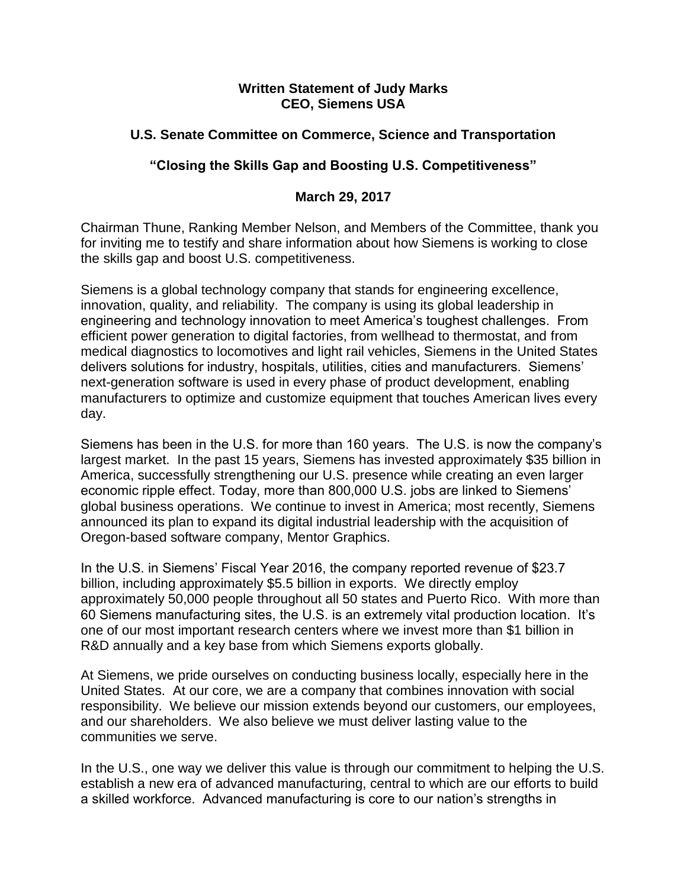### **Written Statement of Judy Marks CEO, Siemens USA**

# **U.S. Senate Committee on Commerce, Science and Transportation**

# **"Closing the Skills Gap and Boosting U.S. Competitiveness"**

### **March 29, 2017**

Chairman Thune, Ranking Member Nelson, and Members of the Committee, thank you for inviting me to testify and share information about how Siemens is working to close the skills gap and boost U.S. competitiveness.

Siemens is a global technology company that stands for engineering excellence, innovation, quality, and reliability. The company is using its global leadership in engineering and technology innovation to meet America's toughest challenges. From efficient power generation to digital factories, from wellhead to thermostat, and from medical diagnostics to locomotives and light rail vehicles, Siemens in the United States delivers solutions for industry, hospitals, utilities, cities and manufacturers. Siemens' next-generation software is used in every phase of product development, enabling manufacturers to optimize and customize equipment that touches American lives every day.

Siemens has been in the U.S. for more than 160 years. The U.S. is now the company's largest market. In the past 15 years, Siemens has invested approximately \$35 billion in America, successfully strengthening our U.S. presence while creating an even larger economic ripple effect. Today, more than 800,000 U.S. jobs are linked to Siemens' global business operations. We continue to invest in America; most recently, Siemens announced its plan to expand its digital industrial leadership with the acquisition of Oregon-based software company, Mentor Graphics.

In the U.S. in Siemens' Fiscal Year 2016, the company reported revenue of \$23.7 billion, including approximately \$5.5 billion in exports. We directly employ approximately 50,000 people throughout all 50 states and Puerto Rico. With more than 60 Siemens manufacturing sites, the U.S. is an extremely vital production location. It's one of our most important research centers where we invest more than \$1 billion in R&D annually and a key base from which Siemens exports globally.

At Siemens, we pride ourselves on conducting business locally, especially here in the United States. At our core, we are a company that combines innovation with social responsibility. We believe our mission extends beyond our customers, our employees, and our shareholders. We also believe we must deliver lasting value to the communities we serve.

In the U.S., one way we deliver this value is through our commitment to helping the U.S. establish a new era of advanced manufacturing, central to which are our efforts to build a skilled workforce. Advanced manufacturing is core to our nation's strengths in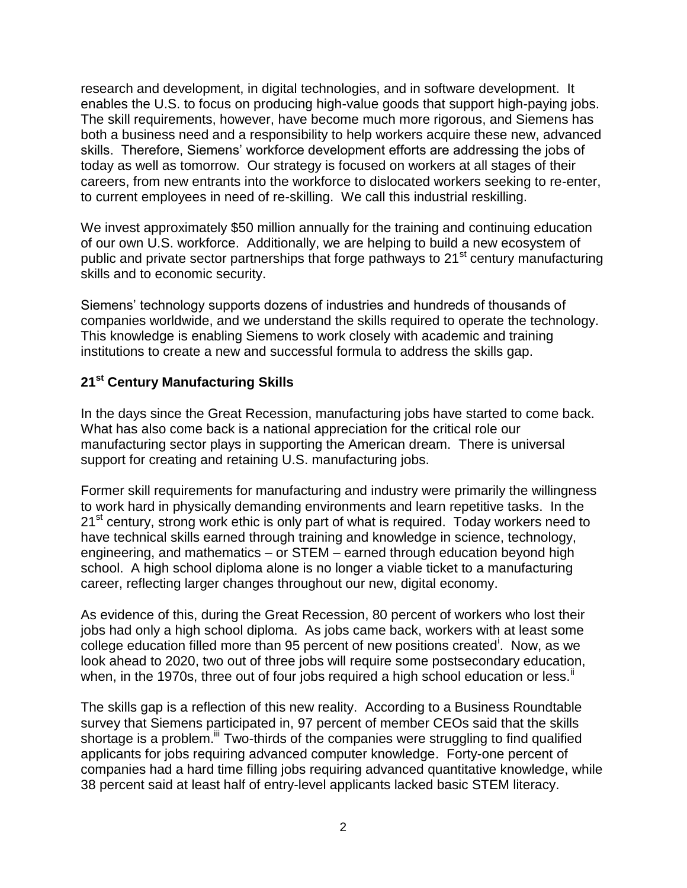research and development, in digital technologies, and in software development. It enables the U.S. to focus on producing high-value goods that support high-paying jobs. The skill requirements, however, have become much more rigorous, and Siemens has both a business need and a responsibility to help workers acquire these new, advanced skills. Therefore, Siemens' workforce development efforts are addressing the jobs of today as well as tomorrow. Our strategy is focused on workers at all stages of their careers, from new entrants into the workforce to dislocated workers seeking to re-enter, to current employees in need of re-skilling. We call this industrial reskilling.

We invest approximately \$50 million annually for the training and continuing education of our own U.S. workforce. Additionally, we are helping to build a new ecosystem of public and private sector partnerships that forge pathways to  $21<sup>st</sup>$  century manufacturing skills and to economic security.

Siemens' technology supports dozens of industries and hundreds of thousands of companies worldwide, and we understand the skills required to operate the technology. This knowledge is enabling Siemens to work closely with academic and training institutions to create a new and successful formula to address the skills gap.

### **21st Century Manufacturing Skills**

In the days since the Great Recession, manufacturing jobs have started to come back. What has also come back is a national appreciation for the critical role our manufacturing sector plays in supporting the American dream. There is universal support for creating and retaining U.S. manufacturing jobs.

Former skill requirements for manufacturing and industry were primarily the willingness to work hard in physically demanding environments and learn repetitive tasks. In the 21<sup>st</sup> century, strong work ethic is only part of what is required. Today workers need to have technical skills earned through training and knowledge in science, technology, engineering, and mathematics – or STEM – earned through education beyond high school. A high school diploma alone is no longer a viable ticket to a manufacturing career, reflecting larger changes throughout our new, digital economy.

As evidence of this, during the Great Recession, 80 percent of workers who lost their iobs had only a high school diploma. As jobs came back, workers with at least some college education filled more than 95 percent of new positions created<sup>i</sup>. Now, as we look ahead to 2020, two out of three jobs will require some postsecondary education, when, in the 1970s, three out of four jobs required a high school education or less. $\mathbb{I}$ 

The skills gap is a reflection of this new reality. According to a Business Roundtable survey that Siemens participated in, 97 percent of member CEOs said that the skills shortage is a problem.<sup>iii</sup> Two-thirds of the companies were struggling to find qualified applicants for jobs requiring advanced computer knowledge. Forty-one percent of companies had a hard time filling jobs requiring advanced quantitative knowledge, while 38 percent said at least half of entry-level applicants lacked basic STEM literacy.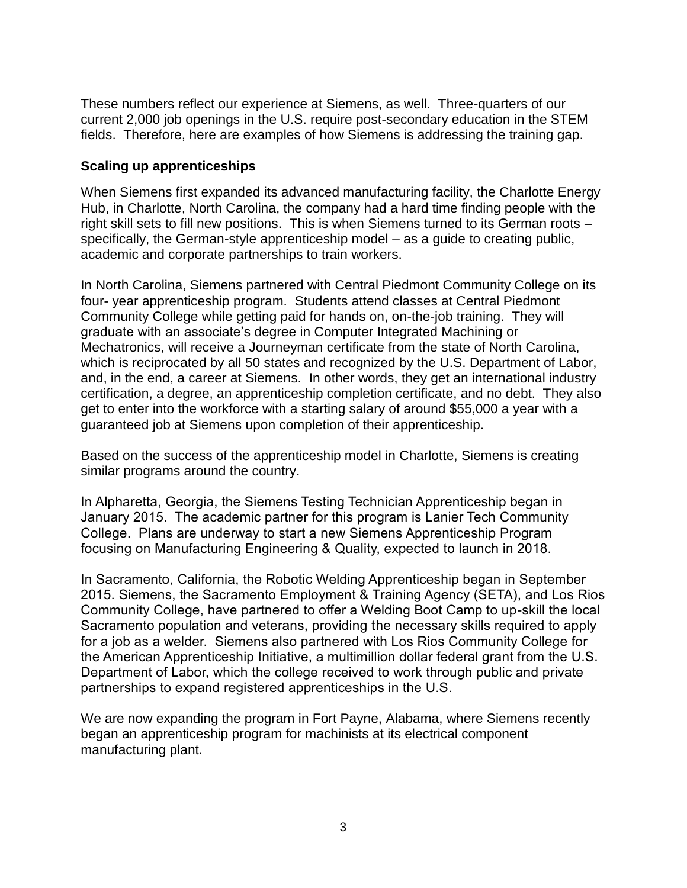These numbers reflect our experience at Siemens, as well. Three-quarters of our current 2,000 job openings in the U.S. require post-secondary education in the STEM fields. Therefore, here are examples of how Siemens is addressing the training gap.

### **Scaling up apprenticeships**

When Siemens first expanded its advanced manufacturing facility, the Charlotte Energy Hub, in Charlotte, North Carolina, the company had a hard time finding people with the right skill sets to fill new positions. This is when Siemens turned to its German roots – specifically, the German-style apprenticeship model – as a guide to creating public, academic and corporate partnerships to train workers.

In North Carolina, Siemens partnered with Central Piedmont Community College on its four- year apprenticeship program. Students attend classes at Central Piedmont Community College while getting paid for hands on, on-the-job training. They will graduate with an associate's degree in Computer Integrated Machining or Mechatronics, will receive a Journeyman certificate from the state of North Carolina, which is reciprocated by all 50 states and recognized by the U.S. Department of Labor, and, in the end, a career at Siemens. In other words, they get an international industry certification, a degree, an apprenticeship completion certificate, and no debt. They also get to enter into the workforce with a starting salary of around \$55,000 a year with a guaranteed job at Siemens upon completion of their apprenticeship.

Based on the success of the apprenticeship model in Charlotte, Siemens is creating similar programs around the country.

In Alpharetta, Georgia, the Siemens Testing Technician Apprenticeship began in January 2015. The academic partner for this program is Lanier Tech Community College. Plans are underway to start a new Siemens Apprenticeship Program focusing on Manufacturing Engineering & Quality, expected to launch in 2018.

In Sacramento, California, the Robotic Welding Apprenticeship began in September 2015. Siemens, the Sacramento Employment & Training Agency (SETA), and Los Rios Community College, have partnered to offer a Welding Boot Camp to up-skill the local Sacramento population and veterans, providing the necessary skills required to apply for a job as a welder. Siemens also partnered with Los Rios Community College for the American Apprenticeship Initiative, a multimillion dollar federal grant from the U.S. Department of Labor, which the college received to work through public and private partnerships to expand registered apprenticeships in the U.S.

We are now expanding the program in Fort Payne, Alabama, where Siemens recently began an apprenticeship program for machinists at its electrical component manufacturing plant.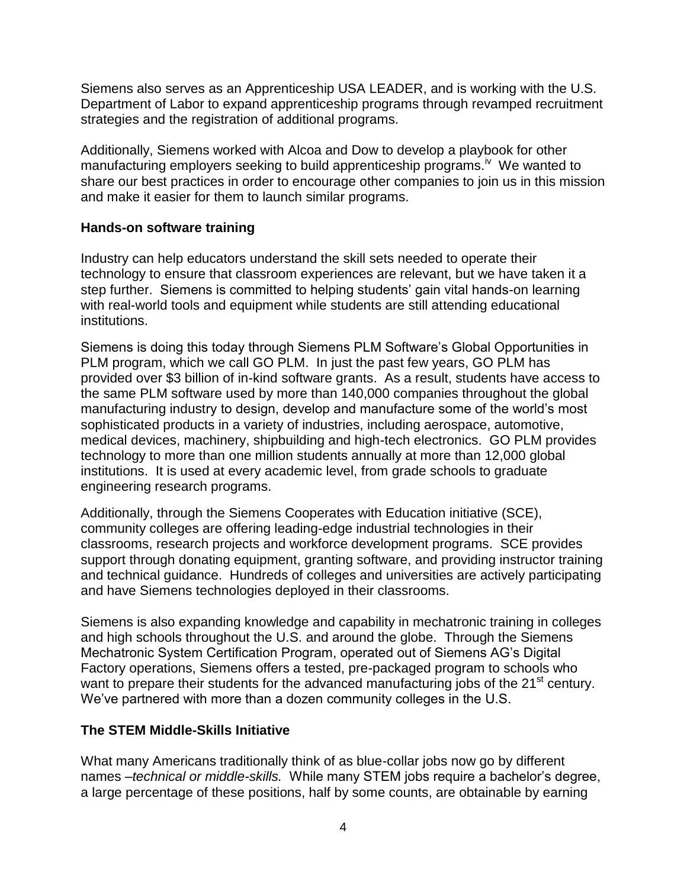Siemens also serves as an Apprenticeship USA LEADER, and is working with the U.S. Department of Labor to expand apprenticeship programs through revamped recruitment strategies and the registration of additional programs.

Additionally, Siemens worked with Alcoa and Dow to develop a playbook for other manufacturing employers seeking to build apprenticeship programs.<sup>iv</sup> We wanted to share our best practices in order to encourage other companies to join us in this mission and make it easier for them to launch similar programs.

### **Hands-on software training**

Industry can help educators understand the skill sets needed to operate their technology to ensure that classroom experiences are relevant, but we have taken it a step further. Siemens is committed to helping students' gain vital hands-on learning with real-world tools and equipment while students are still attending educational institutions.

Siemens is doing this today through Siemens PLM Software's Global Opportunities in PLM program, which we call GO PLM. In just the past few years, GO PLM has provided over \$3 billion of in-kind software grants. As a result, students have access to the same PLM software used by more than 140,000 companies throughout the global manufacturing industry to design, develop and manufacture some of the world's most sophisticated products in a variety of industries, including aerospace, automotive, medical devices, machinery, shipbuilding and high-tech electronics. GO PLM provides technology to more than one million students annually at more than 12,000 global institutions. It is used at every academic level, from grade schools to graduate engineering research programs.

Additionally, through the Siemens Cooperates with Education initiative (SCE), community colleges are offering leading-edge industrial technologies in their classrooms, research projects and workforce development programs. SCE provides support through donating equipment, granting software, and providing instructor training and technical guidance. Hundreds of colleges and universities are actively participating and have Siemens technologies deployed in their classrooms.

Siemens is also expanding knowledge and capability in mechatronic training in colleges and high schools throughout the U.S. and around the globe. Through the Siemens Mechatronic System Certification Program, operated out of Siemens AG's Digital Factory operations, Siemens offers a tested, pre-packaged program to schools who want to prepare their students for the advanced manufacturing jobs of the 21<sup>st</sup> century. We've partnered with more than a dozen community colleges in the U.S.

# **The STEM Middle-Skills Initiative**

What many Americans traditionally think of as blue-collar jobs now go by different names –*technical or middle-skills.* While many STEM jobs require a bachelor's degree, a large percentage of these positions, half by some counts, are obtainable by earning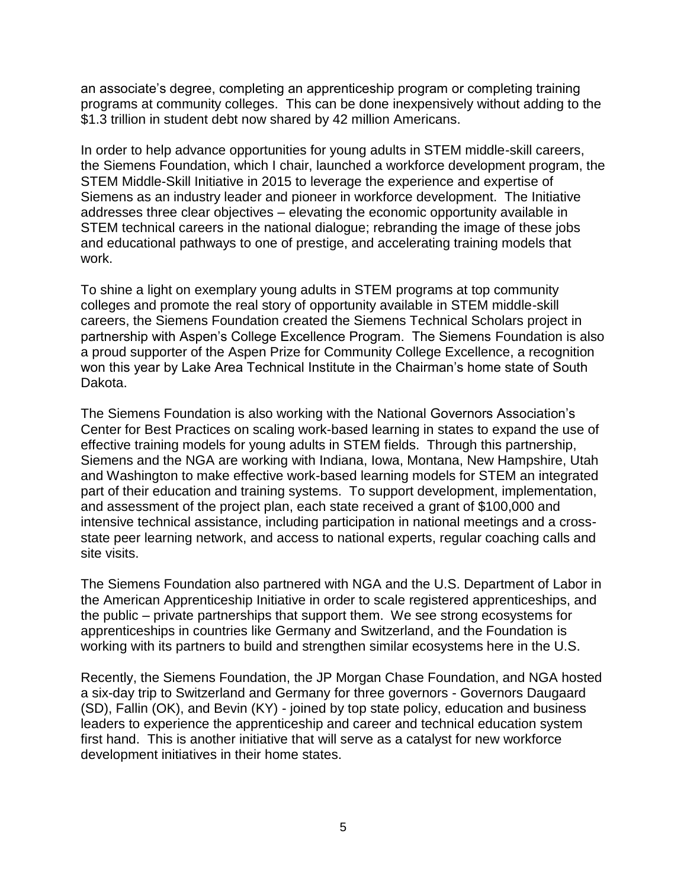an associate's degree, completing an apprenticeship program or completing training programs at community colleges. This can be done inexpensively without adding to the \$1.3 trillion in student debt now shared by 42 million Americans.

In order to help advance opportunities for young adults in STEM middle-skill careers, the Siemens Foundation, which I chair, launched a workforce development program, the STEM Middle-Skill Initiative in 2015 to leverage the experience and expertise of Siemens as an industry leader and pioneer in workforce development. The Initiative addresses three clear objectives – elevating the economic opportunity available in STEM technical careers in the national dialogue; rebranding the image of these jobs and educational pathways to one of prestige, and accelerating training models that work.

To shine a light on exemplary young adults in STEM programs at top community colleges and promote the real story of opportunity available in STEM middle-skill careers, the Siemens Foundation created the Siemens Technical Scholars project in partnership with Aspen's College Excellence Program. The Siemens Foundation is also a proud supporter of the Aspen Prize for Community College Excellence, a recognition won this year by Lake Area Technical Institute in the Chairman's home state of South Dakota.

The Siemens Foundation is also working with the National Governors Association's Center for Best Practices on scaling work-based learning in states to expand the use of effective training models for young adults in STEM fields. Through this partnership, Siemens and the NGA are working with Indiana, Iowa, Montana, New Hampshire, Utah and Washington to make effective work-based learning models for STEM an integrated part of their education and training systems. To support development, implementation, and assessment of the project plan, each state received a grant of \$100,000 and intensive technical assistance, including participation in national meetings and a crossstate peer learning network, and access to national experts, regular coaching calls and site visits.

The Siemens Foundation also partnered with NGA and the U.S. Department of Labor in the American Apprenticeship Initiative in order to scale registered apprenticeships, and the public – private partnerships that support them. We see strong ecosystems for apprenticeships in countries like Germany and Switzerland, and the Foundation is working with its partners to build and strengthen similar ecosystems here in the U.S.

Recently, the Siemens Foundation, the JP Morgan Chase Foundation, and NGA hosted a six-day trip to Switzerland and Germany for three governors - Governors Daugaard (SD), Fallin (OK), and Bevin (KY) - joined by top state policy, education and business leaders to experience the apprenticeship and career and technical education system first hand. This is another initiative that will serve as a catalyst for new workforce development initiatives in their home states.